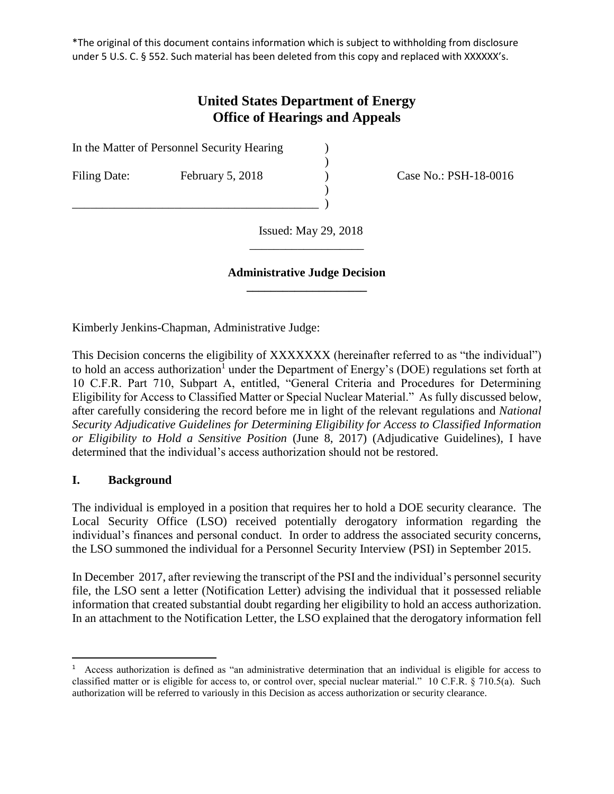\*The original of this document contains information which is subject to withholding from disclosure under 5 U.S. C. § 552. Such material has been deleted from this copy and replaced with XXXXXX's.

# **United States Department of Energy Office of Hearings and Appeals**

)

)

In the Matter of Personnel Security Hearing )

\_\_\_\_\_\_\_\_\_\_\_\_\_\_\_\_\_\_\_\_\_\_\_\_\_\_\_\_\_\_\_\_\_\_\_\_\_\_\_\_\_ )

Filing Date: February 5, 2018 (February 5, 2018) Case No.: PSH-18-0016

 Issued: May 29, 2018 \_\_\_\_\_\_\_\_\_\_\_\_\_\_\_\_\_\_\_

#### **Administrative Judge Decision \_\_\_\_\_\_\_\_\_\_\_\_\_\_\_\_\_\_\_\_**

Kimberly Jenkins-Chapman, Administrative Judge:

This Decision concerns the eligibility of XXXXXXX (hereinafter referred to as "the individual") to hold an access authorization<sup>1</sup> under the Department of Energy's (DOE) regulations set forth at 10 C.F.R. Part 710, Subpart A, entitled, "General Criteria and Procedures for Determining Eligibility for Access to Classified Matter or Special Nuclear Material." As fully discussed below, after carefully considering the record before me in light of the relevant regulations and *National Security Adjudicative Guidelines for Determining Eligibility for Access to Classified Information or Eligibility to Hold a Sensitive Position* (June 8, 2017) (Adjudicative Guidelines), I have determined that the individual's access authorization should not be restored.

## **I. Background**

 $\overline{a}$ 

The individual is employed in a position that requires her to hold a DOE security clearance. The Local Security Office (LSO) received potentially derogatory information regarding the individual's finances and personal conduct. In order to address the associated security concerns, the LSO summoned the individual for a Personnel Security Interview (PSI) in September 2015.

In December 2017, after reviewing the transcript of the PSI and the individual's personnel security file, the LSO sent a letter (Notification Letter) advising the individual that it possessed reliable information that created substantial doubt regarding her eligibility to hold an access authorization. In an attachment to the Notification Letter, the LSO explained that the derogatory information fell

<sup>&</sup>lt;sup>1</sup> Access authorization is defined as "an administrative determination that an individual is eligible for access to classified matter or is eligible for access to, or control over, special nuclear material." 10 C.F.R. § 710.5(a). Such authorization will be referred to variously in this Decision as access authorization or security clearance.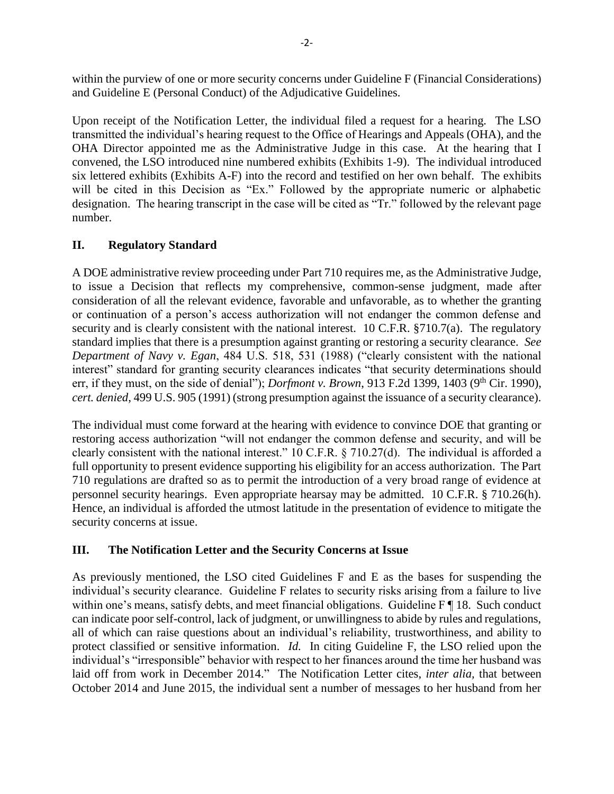within the purview of one or more security concerns under Guideline F (Financial Considerations) and Guideline E (Personal Conduct) of the Adjudicative Guidelines.

Upon receipt of the Notification Letter, the individual filed a request for a hearing. The LSO transmitted the individual's hearing request to the Office of Hearings and Appeals (OHA), and the OHA Director appointed me as the Administrative Judge in this case. At the hearing that I convened, the LSO introduced nine numbered exhibits (Exhibits 1-9). The individual introduced six lettered exhibits (Exhibits A-F) into the record and testified on her own behalf. The exhibits will be cited in this Decision as "Ex." Followed by the appropriate numeric or alphabetic designation. The hearing transcript in the case will be cited as "Tr." followed by the relevant page number.

## **II. Regulatory Standard**

A DOE administrative review proceeding under Part 710 requires me, as the Administrative Judge, to issue a Decision that reflects my comprehensive, common-sense judgment, made after consideration of all the relevant evidence, favorable and unfavorable, as to whether the granting or continuation of a person's access authorization will not endanger the common defense and security and is clearly consistent with the national interest. 10 C.F.R. §710.7(a). The regulatory standard implies that there is a presumption against granting or restoring a security clearance. *See Department of Navy v. Egan*, 484 U.S. 518, 531 (1988) ("clearly consistent with the national interest" standard for granting security clearances indicates "that security determinations should err, if they must, on the side of denial"); *Dorfmont v. Brown*, 913 F.2d 1399, 1403 (9<sup>th</sup> Cir. 1990), *cert. denied*, 499 U.S. 905 (1991) (strong presumption against the issuance of a security clearance).

The individual must come forward at the hearing with evidence to convince DOE that granting or restoring access authorization "will not endanger the common defense and security, and will be clearly consistent with the national interest." 10 C.F.R. § 710.27(d). The individual is afforded a full opportunity to present evidence supporting his eligibility for an access authorization. The Part 710 regulations are drafted so as to permit the introduction of a very broad range of evidence at personnel security hearings. Even appropriate hearsay may be admitted. 10 C.F.R. § 710.26(h). Hence, an individual is afforded the utmost latitude in the presentation of evidence to mitigate the security concerns at issue.

## **III. The Notification Letter and the Security Concerns at Issue**

As previously mentioned, the LSO cited Guidelines F and E as the bases for suspending the individual's security clearance. Guideline F relates to security risks arising from a failure to live within one's means, satisfy debts, and meet financial obligations. Guideline F ¶ 18. Such conduct can indicate poor self-control, lack of judgment, or unwillingness to abide by rules and regulations, all of which can raise questions about an individual's reliability, trustworthiness, and ability to protect classified or sensitive information. *Id.* In citing Guideline F, the LSO relied upon the individual's "irresponsible" behavior with respect to her finances around the time her husband was laid off from work in December 2014." The Notification Letter cites, *inter alia,* that between October 2014 and June 2015, the individual sent a number of messages to her husband from her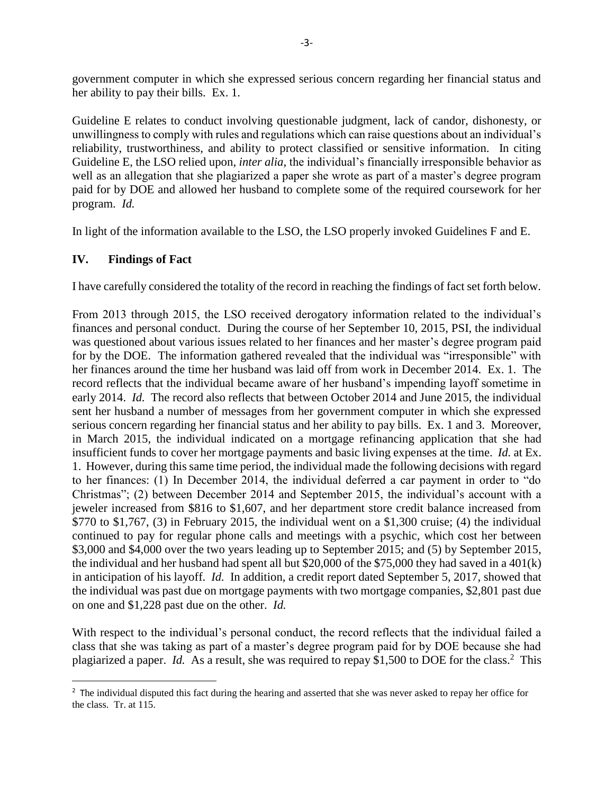government computer in which she expressed serious concern regarding her financial status and her ability to pay their bills. Ex. 1.

Guideline E relates to conduct involving questionable judgment, lack of candor, dishonesty, or unwillingness to comply with rules and regulations which can raise questions about an individual's reliability, trustworthiness, and ability to protect classified or sensitive information. In citing Guideline E, the LSO relied upon, *inter alia*, the individual's financially irresponsible behavior as well as an allegation that she plagiarized a paper she wrote as part of a master's degree program paid for by DOE and allowed her husband to complete some of the required coursework for her program. *Id.* 

In light of the information available to the LSO, the LSO properly invoked Guidelines F and E.

## **IV. Findings of Fact**

 $\overline{\phantom{a}}$ 

I have carefully considered the totality of the record in reaching the findings of fact set forth below.

From 2013 through 2015, the LSO received derogatory information related to the individual's finances and personal conduct. During the course of her September 10, 2015, PSI, the individual was questioned about various issues related to her finances and her master's degree program paid for by the DOE. The information gathered revealed that the individual was "irresponsible" with her finances around the time her husband was laid off from work in December 2014. Ex. 1. The record reflects that the individual became aware of her husband's impending layoff sometime in early 2014. *Id.* The record also reflects that between October 2014 and June 2015, the individual sent her husband a number of messages from her government computer in which she expressed serious concern regarding her financial status and her ability to pay bills. Ex. 1 and 3. Moreover, in March 2015, the individual indicated on a mortgage refinancing application that she had insufficient funds to cover her mortgage payments and basic living expenses at the time. *Id.* at Ex. 1. However, during this same time period, the individual made the following decisions with regard to her finances: (1) In December 2014, the individual deferred a car payment in order to "do Christmas"; (2) between December 2014 and September 2015, the individual's account with a jeweler increased from \$816 to \$1,607, and her department store credit balance increased from  $$770$  to  $$1,767$ , (3) in February 2015, the individual went on a  $$1,300$  cruise; (4) the individual continued to pay for regular phone calls and meetings with a psychic, which cost her between \$3,000 and \$4,000 over the two years leading up to September 2015; and (5) by September 2015, the individual and her husband had spent all but \$20,000 of the \$75,000 they had saved in a 401(k) in anticipation of his layoff. *Id.* In addition, a credit report dated September 5, 2017, showed that the individual was past due on mortgage payments with two mortgage companies, \$2,801 past due on one and \$1,228 past due on the other. *Id.* 

With respect to the individual's personal conduct, the record reflects that the individual failed a class that she was taking as part of a master's degree program paid for by DOE because she had plagiarized a paper. *Id.* As a result, she was required to repay \$1,500 to DOE for the class.<sup>2</sup> This

<sup>&</sup>lt;sup>2</sup> The individual disputed this fact during the hearing and asserted that she was never asked to repay her office for the class. Tr. at 115.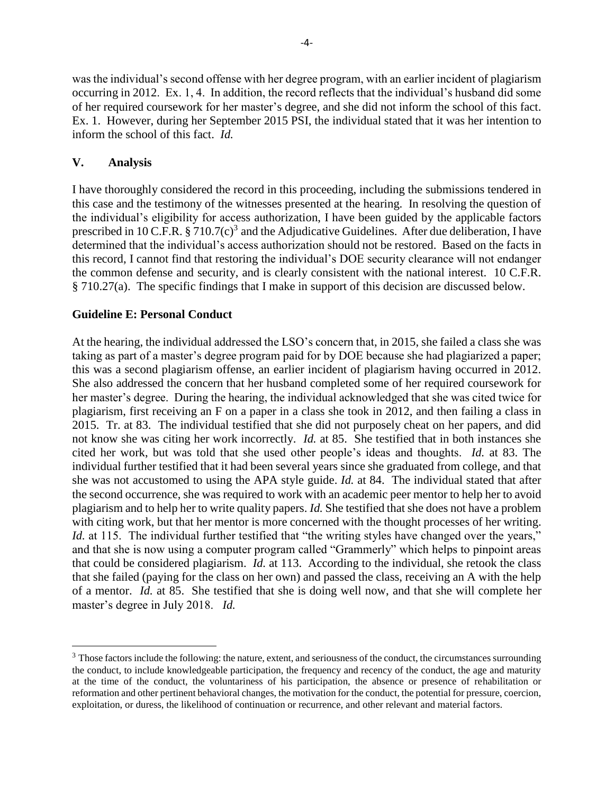was the individual's second offense with her degree program, with an earlier incident of plagiarism occurring in 2012. Ex. 1, 4. In addition, the record reflects that the individual's husband did some of her required coursework for her master's degree, and she did not inform the school of this fact. Ex. 1. However, during her September 2015 PSI, the individual stated that it was her intention to inform the school of this fact. *Id.* 

#### **V. Analysis**

l

I have thoroughly considered the record in this proceeding, including the submissions tendered in this case and the testimony of the witnesses presented at the hearing. In resolving the question of the individual's eligibility for access authorization, I have been guided by the applicable factors prescribed in 10 C.F.R.  $\S 710.7(c)^3$  and the Adjudicative Guidelines. After due deliberation, I have determined that the individual's access authorization should not be restored. Based on the facts in this record, I cannot find that restoring the individual's DOE security clearance will not endanger the common defense and security, and is clearly consistent with the national interest. 10 C.F.R. § 710.27(a). The specific findings that I make in support of this decision are discussed below.

#### **Guideline E: Personal Conduct**

At the hearing, the individual addressed the LSO's concern that, in 2015, she failed a class she was taking as part of a master's degree program paid for by DOE because she had plagiarized a paper; this was a second plagiarism offense, an earlier incident of plagiarism having occurred in 2012. She also addressed the concern that her husband completed some of her required coursework for her master's degree. During the hearing, the individual acknowledged that she was cited twice for plagiarism, first receiving an F on a paper in a class she took in 2012, and then failing a class in 2015. Tr. at 83. The individual testified that she did not purposely cheat on her papers, and did not know she was citing her work incorrectly. *Id.* at 85. She testified that in both instances she cited her work, but was told that she used other people's ideas and thoughts. *Id.* at 83. The individual further testified that it had been several years since she graduated from college, and that she was not accustomed to using the APA style guide. *Id.* at 84. The individual stated that after the second occurrence, she was required to work with an academic peer mentor to help her to avoid plagiarism and to help her to write quality papers. *Id.* She testified that she does not have a problem with citing work, but that her mentor is more concerned with the thought processes of her writing. *Id.* at 115. The individual further testified that "the writing styles have changed over the years," and that she is now using a computer program called "Grammerly" which helps to pinpoint areas that could be considered plagiarism. *Id.* at 113. According to the individual, she retook the class that she failed (paying for the class on her own) and passed the class, receiving an A with the help of a mentor. *Id.* at 85. She testified that she is doing well now, and that she will complete her master's degree in July 2018. *Id.* 

<sup>&</sup>lt;sup>3</sup> Those factors include the following: the nature, extent, and seriousness of the conduct, the circumstances surrounding the conduct, to include knowledgeable participation, the frequency and recency of the conduct, the age and maturity at the time of the conduct, the voluntariness of his participation, the absence or presence of rehabilitation or reformation and other pertinent behavioral changes, the motivation for the conduct, the potential for pressure, coercion, exploitation, or duress, the likelihood of continuation or recurrence, and other relevant and material factors.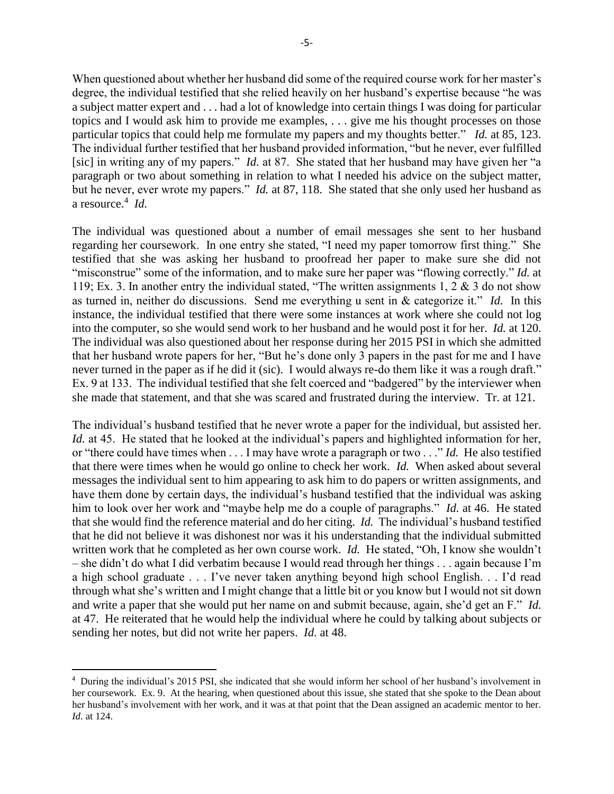When questioned about whether her husband did some of the required course work for her master's degree, the individual testified that she relied heavily on her husband's expertise because "he was a subject matter expert and . . . had a lot of knowledge into certain things I was doing for particular topics and I would ask him to provide me examples, . . . give me his thought processes on those particular topics that could help me formulate my papers and my thoughts better." *Id.* at 85, 123. The individual further testified that her husband provided information, "but he never, ever fulfilled [sic] in writing any of my papers." *Id.* at 87. She stated that her husband may have given her "a paragraph or two about something in relation to what I needed his advice on the subject matter, but he never, ever wrote my papers." *Id.* at 87, 118. She stated that she only used her husband as a resource.<sup>4</sup> *Id.* 

The individual was questioned about a number of email messages she sent to her husband regarding her coursework. In one entry she stated, "I need my paper tomorrow first thing." She testified that she was asking her husband to proofread her paper to make sure she did not "misconstrue" some of the information, and to make sure her paper was "flowing correctly." *Id.* at 119; Ex. 3. In another entry the individual stated, "The written assignments 1, 2 & 3 do not show as turned in, neither do discussions. Send me everything u sent in & categorize it." *Id.* In this instance, the individual testified that there were some instances at work where she could not log into the computer, so she would send work to her husband and he would post it for her. *Id.* at 120. The individual was also questioned about her response during her 2015 PSI in which she admitted that her husband wrote papers for her, "But he's done only 3 papers in the past for me and I have never turned in the paper as if he did it (sic). I would always re-do them like it was a rough draft." Ex. 9 at 133. The individual testified that she felt coerced and "badgered" by the interviewer when she made that statement, and that she was scared and frustrated during the interview. Tr. at 121.

The individual's husband testified that he never wrote a paper for the individual, but assisted her. *Id.* at 45. He stated that he looked at the individual's papers and highlighted information for her, or "there could have times when . . . I may have wrote a paragraph or two . . ." *Id.* He also testified that there were times when he would go online to check her work. *Id.* When asked about several messages the individual sent to him appearing to ask him to do papers or written assignments, and have them done by certain days, the individual's husband testified that the individual was asking him to look over her work and "maybe help me do a couple of paragraphs." *Id.* at 46. He stated that she would find the reference material and do her citing. *Id.* The individual's husband testified that he did not believe it was dishonest nor was it his understanding that the individual submitted written work that he completed as her own course work. *Id.* He stated, "Oh, I know she wouldn't – she didn't do what I did verbatim because I would read through her things . . . again because I'm a high school graduate . . . I've never taken anything beyond high school English. . . I'd read through what she's written and I might change that a little bit or you know but I would not sit down and write a paper that she would put her name on and submit because, again, she'd get an F." *Id.*  at 47. He reiterated that he would help the individual where he could by talking about subjects or sending her notes, but did not write her papers. *Id.* at 48.

 $\overline{\phantom{a}}$ 

<sup>4</sup> During the individual's 2015 PSI, she indicated that she would inform her school of her husband's involvement in her coursework. Ex. 9. At the hearing, when questioned about this issue, she stated that she spoke to the Dean about her husband's involvement with her work, and it was at that point that the Dean assigned an academic mentor to her. *Id.* at 124.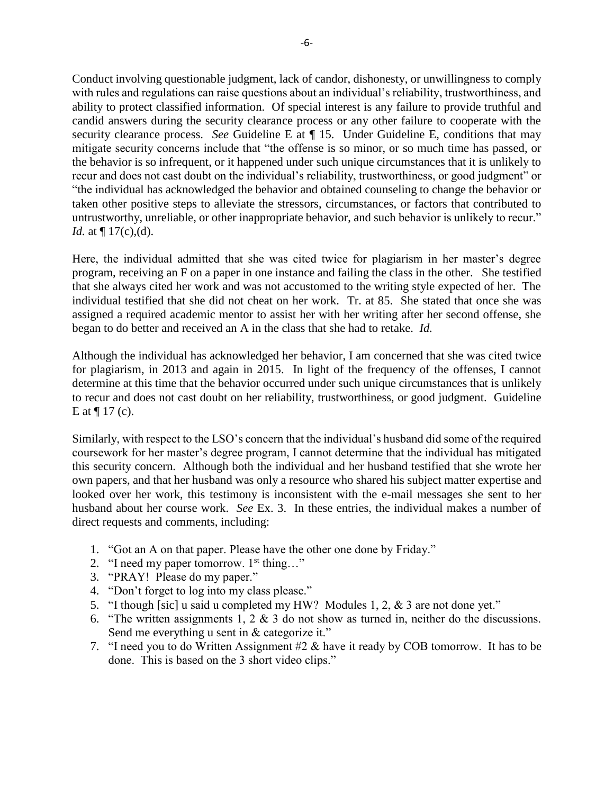Conduct involving questionable judgment, lack of candor, dishonesty, or unwillingness to comply with rules and regulations can raise questions about an individual's reliability, trustworthiness, and ability to protect classified information. Of special interest is any failure to provide truthful and candid answers during the security clearance process or any other failure to cooperate with the security clearance process. *See* Guideline E at  $\P$  15. Under Guideline E, conditions that may mitigate security concerns include that "the offense is so minor, or so much time has passed, or the behavior is so infrequent, or it happened under such unique circumstances that it is unlikely to recur and does not cast doubt on the individual's reliability, trustworthiness, or good judgment" or "the individual has acknowledged the behavior and obtained counseling to change the behavior or taken other positive steps to alleviate the stressors, circumstances, or factors that contributed to untrustworthy, unreliable, or other inappropriate behavior, and such behavior is unlikely to recur." *Id.* at  $\P$  17(c),(d).

Here, the individual admitted that she was cited twice for plagiarism in her master's degree program, receiving an F on a paper in one instance and failing the class in the other. She testified that she always cited her work and was not accustomed to the writing style expected of her. The individual testified that she did not cheat on her work. Tr. at 85. She stated that once she was assigned a required academic mentor to assist her with her writing after her second offense, she began to do better and received an A in the class that she had to retake. *Id.*

Although the individual has acknowledged her behavior, I am concerned that she was cited twice for plagiarism, in 2013 and again in 2015. In light of the frequency of the offenses, I cannot determine at this time that the behavior occurred under such unique circumstances that is unlikely to recur and does not cast doubt on her reliability, trustworthiness, or good judgment. Guideline E at  $\P$  17 (c).

Similarly, with respect to the LSO's concern that the individual's husband did some of the required coursework for her master's degree program, I cannot determine that the individual has mitigated this security concern. Although both the individual and her husband testified that she wrote her own papers, and that her husband was only a resource who shared his subject matter expertise and looked over her work, this testimony is inconsistent with the e-mail messages she sent to her husband about her course work. *See* Ex. 3. In these entries, the individual makes a number of direct requests and comments, including:

- 1. "Got an A on that paper. Please have the other one done by Friday."
- 2. "I need my paper tomorrow.  $1<sup>st</sup>$  thing..."
- 3. "PRAY! Please do my paper."
- 4. "Don't forget to log into my class please."
- 5. "I though [sic] u said u completed my HW? Modules 1, 2, & 3 are not done yet."
- 6. "The written assignments 1, 2  $\&$  3 do not show as turned in, neither do the discussions. Send me everything u sent in  $&$  categorize it."
- 7. "I need you to do Written Assignment #2 & have it ready by COB tomorrow. It has to be done. This is based on the 3 short video clips."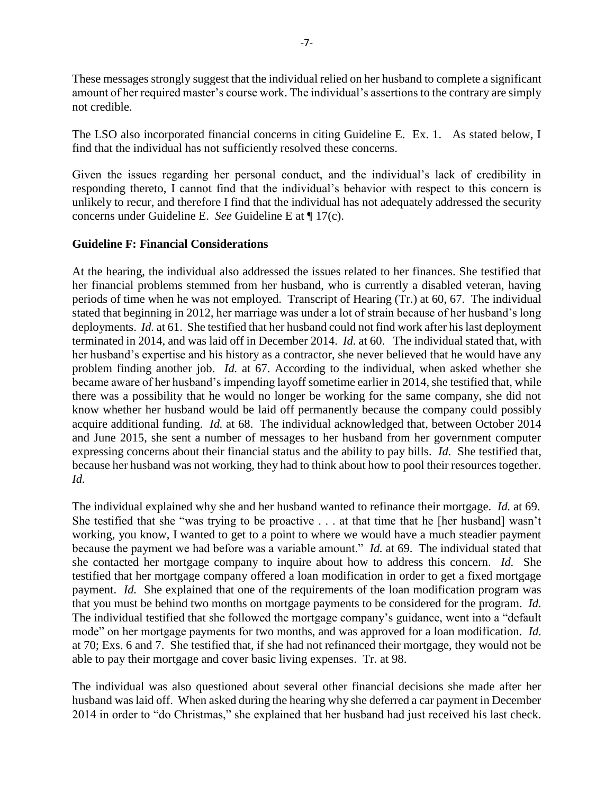These messages strongly suggest that the individual relied on her husband to complete a significant amount of her required master's course work. The individual's assertions to the contrary are simply not credible.

The LSO also incorporated financial concerns in citing Guideline E. Ex. 1. As stated below, I find that the individual has not sufficiently resolved these concerns.

Given the issues regarding her personal conduct, and the individual's lack of credibility in responding thereto, I cannot find that the individual's behavior with respect to this concern is unlikely to recur, and therefore I find that the individual has not adequately addressed the security concerns under Guideline E. *See* Guideline E at ¶ 17(c).

#### **Guideline F: Financial Considerations**

At the hearing, the individual also addressed the issues related to her finances. She testified that her financial problems stemmed from her husband, who is currently a disabled veteran, having periods of time when he was not employed. Transcript of Hearing (Tr.) at 60, 67. The individual stated that beginning in 2012, her marriage was under a lot of strain because of her husband's long deployments. *Id.* at 61. She testified that her husband could not find work after his last deployment terminated in 2014, and was laid off in December 2014. *Id.* at 60. The individual stated that, with her husband's expertise and his history as a contractor, she never believed that he would have any problem finding another job. *Id.* at 67. According to the individual, when asked whether she became aware of her husband's impending layoff sometime earlier in 2014, she testified that, while there was a possibility that he would no longer be working for the same company, she did not know whether her husband would be laid off permanently because the company could possibly acquire additional funding. *Id.* at 68. The individual acknowledged that, between October 2014 and June 2015, she sent a number of messages to her husband from her government computer expressing concerns about their financial status and the ability to pay bills. *Id.* She testified that, because her husband was not working, they had to think about how to pool their resources together. *Id.* 

The individual explained why she and her husband wanted to refinance their mortgage. *Id.* at 69. She testified that she "was trying to be proactive . . . at that time that he [her husband] wasn't working, you know, I wanted to get to a point to where we would have a much steadier payment because the payment we had before was a variable amount." *Id.* at 69. The individual stated that she contacted her mortgage company to inquire about how to address this concern. *Id.* She testified that her mortgage company offered a loan modification in order to get a fixed mortgage payment. *Id.* She explained that one of the requirements of the loan modification program was that you must be behind two months on mortgage payments to be considered for the program. *Id.*  The individual testified that she followed the mortgage company's guidance, went into a "default mode" on her mortgage payments for two months, and was approved for a loan modification. *Id.*  at 70; Exs. 6 and 7. She testified that, if she had not refinanced their mortgage, they would not be able to pay their mortgage and cover basic living expenses. Tr. at 98.

The individual was also questioned about several other financial decisions she made after her husband was laid off. When asked during the hearing why she deferred a car payment in December 2014 in order to "do Christmas," she explained that her husband had just received his last check.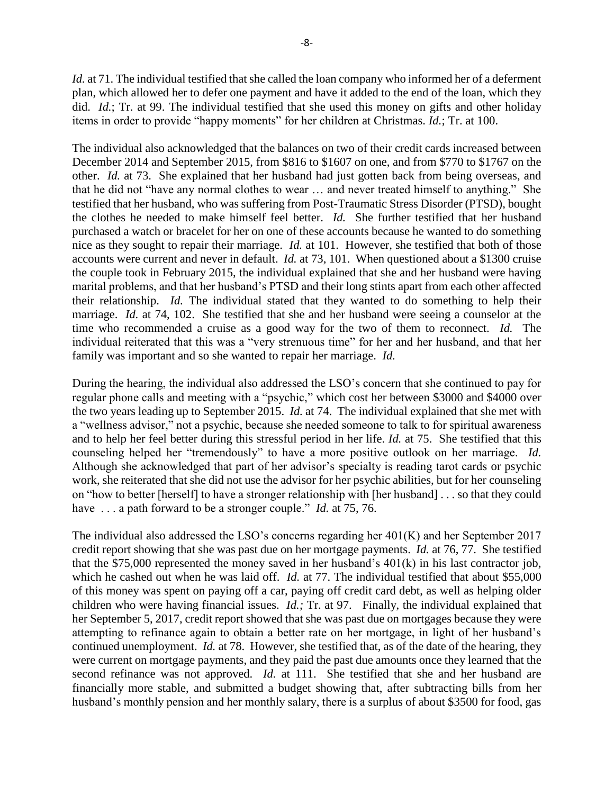*Id.* at 71. The individual testified that she called the loan company who informed her of a deferment plan, which allowed her to defer one payment and have it added to the end of the loan, which they did. *Id.*; Tr. at 99. The individual testified that she used this money on gifts and other holiday items in order to provide "happy moments" for her children at Christmas. *Id.*; Tr. at 100.

The individual also acknowledged that the balances on two of their credit cards increased between December 2014 and September 2015, from \$816 to \$1607 on one, and from \$770 to \$1767 on the other. *Id.* at 73. She explained that her husband had just gotten back from being overseas, and that he did not "have any normal clothes to wear … and never treated himself to anything." She testified that her husband, who was suffering from Post-Traumatic Stress Disorder (PTSD), bought the clothes he needed to make himself feel better. *Id.* She further testified that her husband purchased a watch or bracelet for her on one of these accounts because he wanted to do something nice as they sought to repair their marriage. *Id.* at 101. However, she testified that both of those accounts were current and never in default. *Id.* at 73, 101.When questioned about a \$1300 cruise the couple took in February 2015, the individual explained that she and her husband were having marital problems, and that her husband's PTSD and their long stints apart from each other affected their relationship. *Id.* The individual stated that they wanted to do something to help their marriage. *Id.* at 74, 102. She testified that she and her husband were seeing a counselor at the time who recommended a cruise as a good way for the two of them to reconnect. *Id.* The individual reiterated that this was a "very strenuous time" for her and her husband, and that her family was important and so she wanted to repair her marriage. *Id.* 

During the hearing, the individual also addressed the LSO's concern that she continued to pay for regular phone calls and meeting with a "psychic," which cost her between \$3000 and \$4000 over the two years leading up to September 2015. *Id.* at 74. The individual explained that she met with a "wellness advisor," not a psychic, because she needed someone to talk to for spiritual awareness and to help her feel better during this stressful period in her life. *Id.* at 75. She testified that this counseling helped her "tremendously" to have a more positive outlook on her marriage. *Id.*  Although she acknowledged that part of her advisor's specialty is reading tarot cards or psychic work, she reiterated that she did not use the advisor for her psychic abilities, but for her counseling on "how to better [herself] to have a stronger relationship with [her husband] . . . so that they could have ... a path forward to be a stronger couple." *Id.* at 75, 76.

The individual also addressed the LSO's concerns regarding her 401(K) and her September 2017 credit report showing that she was past due on her mortgage payments. *Id.* at 76, 77. She testified that the \$75,000 represented the money saved in her husband's 401(k) in his last contractor job, which he cashed out when he was laid off. *Id.* at 77. The individual testified that about \$55,000 of this money was spent on paying off a car, paying off credit card debt, as well as helping older children who were having financial issues. *Id.;* Tr. at 97. Finally, the individual explained that her September 5, 2017, credit report showed that she was past due on mortgages because they were attempting to refinance again to obtain a better rate on her mortgage, in light of her husband's continued unemployment. *Id.* at 78. However, she testified that, as of the date of the hearing, they were current on mortgage payments, and they paid the past due amounts once they learned that the second refinance was not approved. *Id.* at 111. She testified that she and her husband are financially more stable, and submitted a budget showing that, after subtracting bills from her husband's monthly pension and her monthly salary, there is a surplus of about \$3500 for food, gas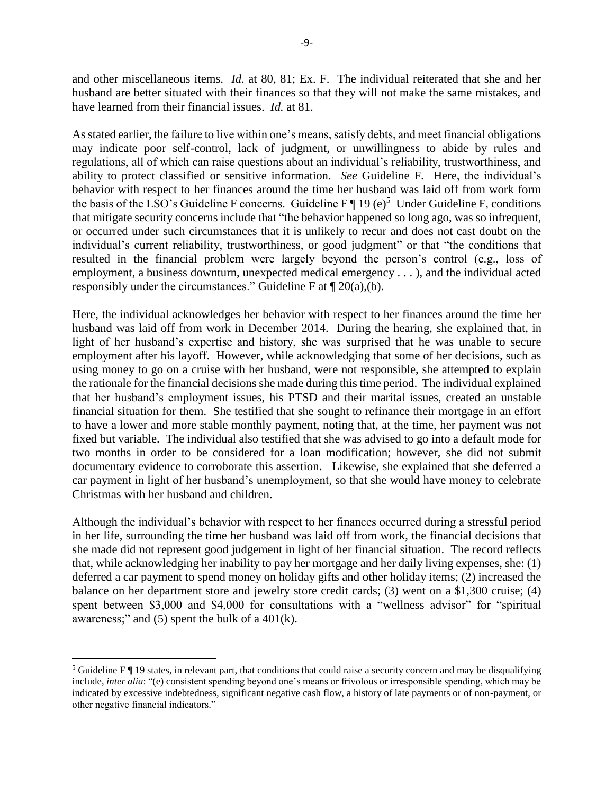and other miscellaneous items. *Id.* at 80, 81; Ex. F. The individual reiterated that she and her husband are better situated with their finances so that they will not make the same mistakes, and have learned from their financial issues. *Id.* at 81.

As stated earlier, the failure to live within one's means, satisfy debts, and meet financial obligations may indicate poor self-control, lack of judgment, or unwillingness to abide by rules and regulations, all of which can raise questions about an individual's reliability, trustworthiness, and ability to protect classified or sensitive information. *See* Guideline F. Here, the individual's behavior with respect to her finances around the time her husband was laid off from work form the basis of the LSO's Guideline F concerns. Guideline  $F \parallel 19$  (e)<sup>5</sup> Under Guideline F, conditions that mitigate security concerns include that "the behavior happened so long ago, was so infrequent, or occurred under such circumstances that it is unlikely to recur and does not cast doubt on the individual's current reliability, trustworthiness, or good judgment" or that "the conditions that resulted in the financial problem were largely beyond the person's control (e.g., loss of employment, a business downturn, unexpected medical emergency . . . ), and the individual acted responsibly under the circumstances." Guideline F at  $\P$  20(a),(b).

Here, the individual acknowledges her behavior with respect to her finances around the time her husband was laid off from work in December 2014. During the hearing, she explained that, in light of her husband's expertise and history, she was surprised that he was unable to secure employment after his layoff. However, while acknowledging that some of her decisions, such as using money to go on a cruise with her husband, were not responsible, she attempted to explain the rationale for the financial decisions she made during this time period. The individual explained that her husband's employment issues, his PTSD and their marital issues, created an unstable financial situation for them. She testified that she sought to refinance their mortgage in an effort to have a lower and more stable monthly payment, noting that, at the time, her payment was not fixed but variable. The individual also testified that she was advised to go into a default mode for two months in order to be considered for a loan modification; however, she did not submit documentary evidence to corroborate this assertion. Likewise, she explained that she deferred a car payment in light of her husband's unemployment, so that she would have money to celebrate Christmas with her husband and children.

Although the individual's behavior with respect to her finances occurred during a stressful period in her life, surrounding the time her husband was laid off from work, the financial decisions that she made did not represent good judgement in light of her financial situation. The record reflects that, while acknowledging her inability to pay her mortgage and her daily living expenses, she: (1) deferred a car payment to spend money on holiday gifts and other holiday items; (2) increased the balance on her department store and jewelry store credit cards; (3) went on a \$1,300 cruise; (4) spent between \$3,000 and \$4,000 for consultations with a "wellness advisor" for "spiritual awareness;" and  $(5)$  spent the bulk of a 401 $(k)$ .

 $\overline{a}$ 

<sup>&</sup>lt;sup>5</sup> Guideline F  $\P$  19 states, in relevant part, that conditions that could raise a security concern and may be disqualifying include, *inter alia*: "(e) consistent spending beyond one's means or frivolous or irresponsible spending, which may be indicated by excessive indebtedness, significant negative cash flow, a history of late payments or of non-payment, or other negative financial indicators."